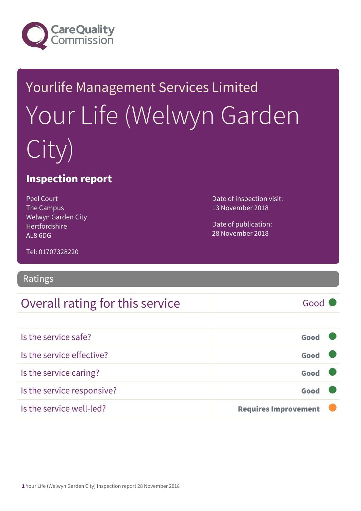

# Yourlife Management Services Limited Your Life (Welwyn Garden City)

#### Inspection report

Peel Court The Campus Welwyn Garden City Hertfordshire AL8 6DG

Date of inspection visit: 13 November 2018

Date of publication: 28 November 2018

Tel: 01707328220

#### Ratings

#### Overall rating for this service Good

| Is the service safe?       | Good                        |  |
|----------------------------|-----------------------------|--|
| Is the service effective?  | Good                        |  |
| Is the service caring?     | Good                        |  |
| Is the service responsive? | Good                        |  |
| Is the service well-led?   | <b>Requires Improvement</b> |  |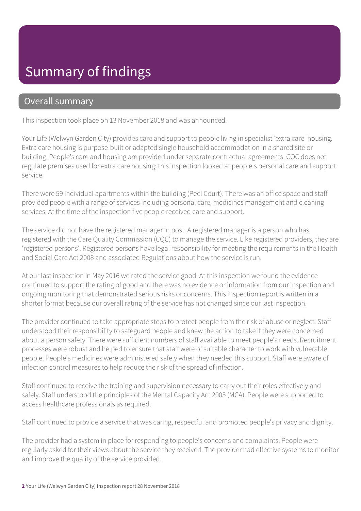# Summary of findings

#### Overall summary

This inspection took place on 13 November 2018 and was announced.

Your Life (Welwyn Garden City) provides care and support to people living in specialist 'extra care' housing. Extra care housing is purpose-built or adapted single household accommodation in a shared site or building. People's care and housing are provided under separate contractual agreements. CQC does not regulate premises used for extra care housing; this inspection looked at people's personal care and support service.

There were 59 individual apartments within the building (Peel Court). There was an office space and staff provided people with a range of services including personal care, medicines management and cleaning services. At the time of the inspection five people received care and support.

The service did not have the registered manager in post. A registered manager is a person who has registered with the Care Quality Commission (CQC) to manage the service. Like registered providers, they are 'registered persons'. Registered persons have legal responsibility for meeting the requirements in the Health and Social Care Act 2008 and associated Regulations about how the service is run.

At our last inspection in May 2016 we rated the service good. At this inspection we found the evidence continued to support the rating of good and there was no evidence or information from our inspection and ongoing monitoring that demonstrated serious risks or concerns. This inspection report is written in a shorter format because our overall rating of the service has not changed since our last inspection.

The provider continued to take appropriate steps to protect people from the risk of abuse or neglect. Staff understood their responsibility to safeguard people and knew the action to take if they were concerned about a person safety. There were sufficient numbers of staff available to meet people's needs. Recruitment processes were robust and helped to ensure that staff were of suitable character to work with vulnerable people. People's medicines were administered safely when they needed this support. Staff were aware of infection control measures to help reduce the risk of the spread of infection.

Staff continued to receive the training and supervision necessary to carry out their roles effectively and safely. Staff understood the principles of the Mental Capacity Act 2005 (MCA). People were supported to access healthcare professionals as required.

Staff continued to provide a service that was caring, respectful and promoted people's privacy and dignity.

The provider had a system in place for responding to people's concerns and complaints. People were regularly asked for their views about the service they received. The provider had effective systems to monitor and improve the quality of the service provided.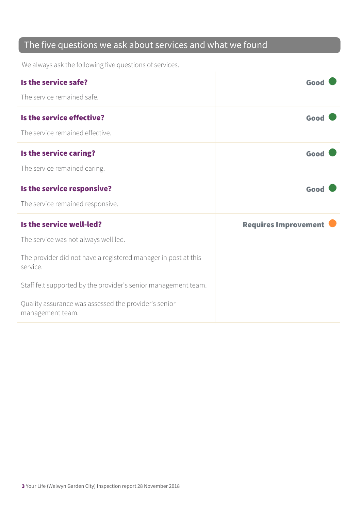#### The five questions we ask about services and what we found

We always ask the following five questions of services.

| Is the service safe?<br>The service remained safe.                                                                                             | Good                        |
|------------------------------------------------------------------------------------------------------------------------------------------------|-----------------------------|
| Is the service effective?<br>The service remained effective.                                                                                   | Good                        |
| Is the service caring?<br>The service remained caring.                                                                                         | Good                        |
| Is the service responsive?<br>The service remained responsive.                                                                                 | Good                        |
| Is the service well-led?<br>The service was not always well led.<br>The provider did not have a registered manager in post at this<br>service. | <b>Requires Improvement</b> |
| Staff felt supported by the provider's senior management team.<br>Quality assurance was assessed the provider's senior<br>management team.     |                             |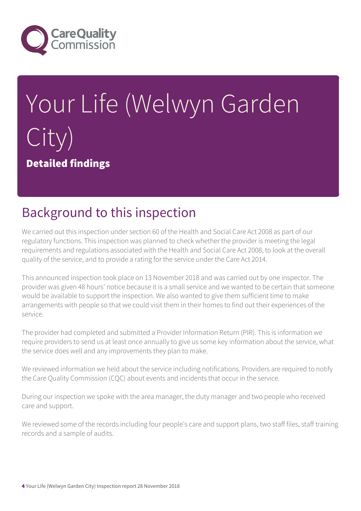

# Your Life (Welwyn Garden City) Detailed findings

## Background to this inspection

We carried out this inspection under section 60 of the Health and Social Care Act 2008 as part of our regulatory functions. This inspection was planned to check whether the provider is meeting the legal requirements and regulations associated with the Health and Social Care Act 2008, to look at the overall quality of the service, and to provide a rating for the service under the Care Act 2014.

This announced inspection took place on 13 November 2018 and was carried out by one inspector. The provider was given 48 hours' notice because it is a small service and we wanted to be certain that someone would be available to support the inspection. We also wanted to give them sufficient time to make arrangements with people so that we could visit them in their homes to find out their experiences of the service.

The provider had completed and submitted a Provider Information Return (PIR). This is information we require providers to send us at least once annually to give us some key information about the service, what the service does well and any improvements they plan to make.

We reviewed information we held about the service including notifications. Providers are required to notify the Care Quality Commission (CQC) about events and incidents that occur in the service.

During our inspection we spoke with the area manager, the duty manager and two people who received care and support.

We reviewed some of the records including four people's care and support plans, two staff files, staff training records and a sample of audits.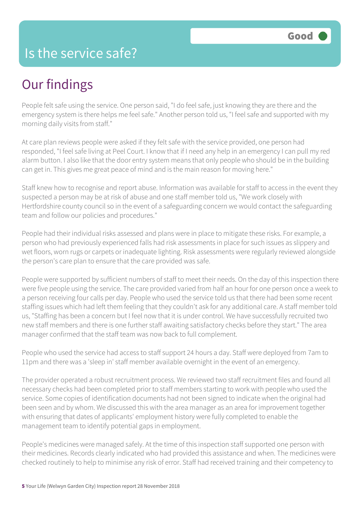#### Is the service safe?

# Our findings

People felt safe using the service. One person said, "I do feel safe, just knowing they are there and the emergency system is there helps me feel safe." Another person told us, "I feel safe and supported with my morning daily visits from staff."

At care plan reviews people were asked if they felt safe with the service provided, one person had responded, "I feel safe living at Peel Court. I know that if I need any help in an emergency I can pull my red alarm button. I also like that the door entry system means that only people who should be in the building can get in. This gives me great peace of mind and is the main reason for moving here."

Staff knew how to recognise and report abuse. Information was available for staff to access in the event they suspected a person may be at risk of abuse and one staff member told us, "We work closely with Hertfordshire county council so in the event of a safeguarding concern we would contact the safeguarding team and follow our policies and procedures."

People had their individual risks assessed and plans were in place to mitigate these risks. For example, a person who had previously experienced falls had risk assessments in place for such issues as slippery and wet floors, worn rugs or carpets or inadequate lighting. Risk assessments were regularly reviewed alongside the person's care plan to ensure that the care provided was safe.

People were supported by sufficient numbers of staff to meet their needs. On the day of this inspection there were five people using the service. The care provided varied from half an hour for one person once a week to a person receiving four calls per day. People who used the service told us that there had been some recent staffing issues which had left them feeling that they couldn't ask for any additional care. A staff member told us, "Staffing has been a concern but I feel now that it is under control. We have successfully recruited two new staff members and there is one further staff awaiting satisfactory checks before they start." The area manager confirmed that the staff team was now back to full complement.

People who used the service had access to staff support 24 hours a day. Staff were deployed from 7am to 11pm and there was a 'sleep in' staff member available overnight in the event of an emergency.

The provider operated a robust recruitment process. We reviewed two staff recruitment files and found all necessary checks had been completed prior to staff members starting to work with people who used the service. Some copies of identification documents had not been signed to indicate when the original had been seen and by whom. We discussed this with the area manager as an area for improvement together with ensuring that dates of applicants' employment history were fully completed to enable the management team to identify potential gaps in employment.

People's medicines were managed safely. At the time of this inspection staff supported one person with their medicines. Records clearly indicated who had provided this assistance and when. The medicines were checked routinely to help to minimise any risk of error. Staff had received training and their competency to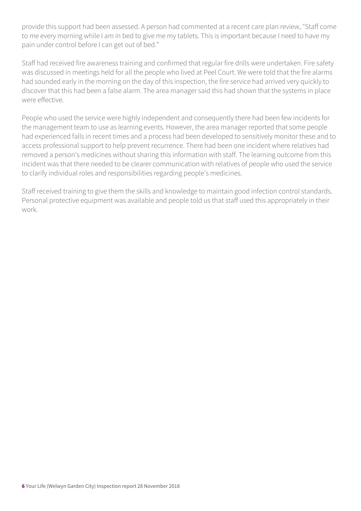provide this support had been assessed. A person had commented at a recent care plan review, "Staff come to me every morning while I am in bed to give me my tablets. This is important because I need to have my pain under control before I can get out of bed."

Staff had received fire awareness training and confirmed that regular fire drills were undertaken. Fire safety was discussed in meetings held for all the people who lived at Peel Court. We were told that the fire alarms had sounded early in the morning on the day of this inspection, the fire service had arrived very quickly to discover that this had been a false alarm. The area manager said this had shown that the systems in place were effective.

People who used the service were highly independent and consequently there had been few incidents for the management team to use as learning events. However, the area manager reported that some people had experienced falls in recent times and a process had been developed to sensitively monitor these and to access professional support to help prevent recurrence. There had been one incident where relatives had removed a person's medicines without sharing this information with staff. The learning outcome from this incident was that there needed to be clearer communication with relatives of people who used the service to clarify individual roles and responsibilities regarding people's medicines.

Staff received training to give them the skills and knowledge to maintain good infection control standards. Personal protective equipment was available and people told us that staff used this appropriately in their work.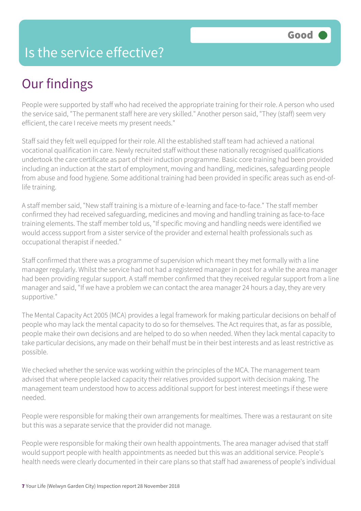### Is the service effective?

# Our findings

People were supported by staff who had received the appropriate training for their role. A person who used the service said, "The permanent staff here are very skilled." Another person said, "They (staff) seem very efficient, the care I receive meets my present needs."

Staff said they felt well equipped for their role. All the established staff team had achieved a national vocational qualification in care. Newly recruited staff without these nationally recognised qualifications undertook the care certificate as part of their induction programme. Basic core training had been provided including an induction at the start of employment, moving and handling, medicines, safeguarding people from abuse and food hygiene. Some additional training had been provided in specific areas such as end-oflife training.

A staff member said, "New staff training is a mixture of e-learning and face-to-face." The staff member confirmed they had received safeguarding, medicines and moving and handling training as face-to-face training elements. The staff member told us, "If specific moving and handling needs were identified we would access support from a sister service of the provider and external health professionals such as occupational therapist if needed."

Staff confirmed that there was a programme of supervision which meant they met formally with a line manager regularly. Whilst the service had not had a registered manager in post for a while the area manager had been providing regular support. A staff member confirmed that they received regular support from a line manager and said, "If we have a problem we can contact the area manager 24 hours a day, they are very supportive."

The Mental Capacity Act 2005 (MCA) provides a legal framework for making particular decisions on behalf of people who may lack the mental capacity to do so for themselves. The Act requires that, as far as possible, people make their own decisions and are helped to do so when needed. When they lack mental capacity to take particular decisions, any made on their behalf must be in their best interests and as least restrictive as possible.

We checked whether the service was working within the principles of the MCA. The management team advised that where people lacked capacity their relatives provided support with decision making. The management team understood how to access additional support for best interest meetings if these were needed.

People were responsible for making their own arrangements for mealtimes. There was a restaurant on site but this was a separate service that the provider did not manage.

People were responsible for making their own health appointments. The area manager advised that staff would support people with health appointments as needed but this was an additional service. People's health needs were clearly documented in their care plans so that staff had awareness of people's individual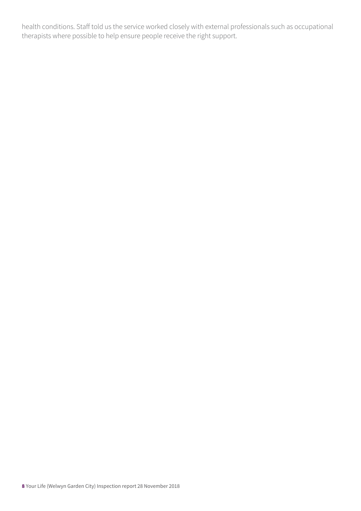health conditions. Staff told us the service worked closely with external professionals such as occupational therapists where possible to help ensure people receive the right support.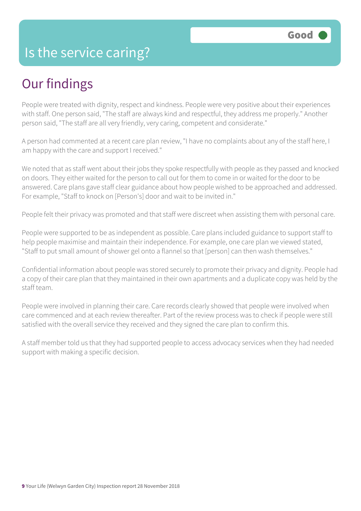#### Is the service caring?

# Our findings

People were treated with dignity, respect and kindness. People were very positive about their experiences with staff. One person said, "The staff are always kind and respectful, they address me properly." Another person said, "The staff are all very friendly, very caring, competent and considerate."

A person had commented at a recent care plan review, "I have no complaints about any of the staff here, I am happy with the care and support I received."

We noted that as staff went about their jobs they spoke respectfully with people as they passed and knocked on doors. They either waited for the person to call out for them to come in or waited for the door to be answered. Care plans gave staff clear guidance about how people wished to be approached and addressed. For example, "Staff to knock on [Person's] door and wait to be invited in."

People felt their privacy was promoted and that staff were discreet when assisting them with personal care.

People were supported to be as independent as possible. Care plans included guidance to support staff to help people maximise and maintain their independence. For example, one care plan we viewed stated, "Staff to put small amount of shower gel onto a flannel so that [person] can then wash themselves."

Confidential information about people was stored securely to promote their privacy and dignity. People had a copy of their care plan that they maintained in their own apartments and a duplicate copy was held by the staff team.

People were involved in planning their care. Care records clearly showed that people were involved when care commenced and at each review thereafter. Part of the review process was to check if people were still satisfied with the overall service they received and they signed the care plan to confirm this.

A staff member told us that they had supported people to access advocacy services when they had needed support with making a specific decision.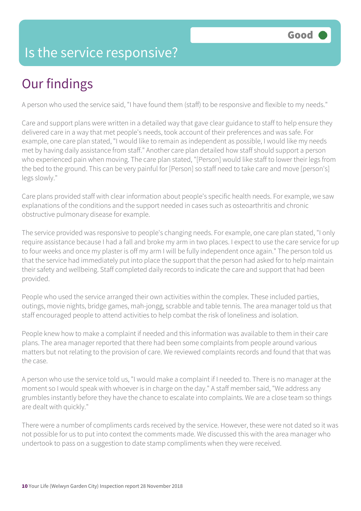### Is the service responsive?

# Our findings

A person who used the service said, "I have found them (staff) to be responsive and flexible to my needs."

Care and support plans were written in a detailed way that gave clear guidance to staff to help ensure they delivered care in a way that met people's needs, took account of their preferences and was safe. For example, one care plan stated, "I would like to remain as independent as possible, I would like my needs met by having daily assistance from staff." Another care plan detailed how staff should support a person who experienced pain when moving. The care plan stated, "[Person] would like staff to lower their legs from the bed to the ground. This can be very painful for [Person] so staff need to take care and move [person's] legs slowly."

Care plans provided staff with clear information about people's specific health needs. For example, we saw explanations of the conditions and the support needed in cases such as osteoarthritis and chronic obstructive pulmonary disease for example.

The service provided was responsive to people's changing needs. For example, one care plan stated, "I only require assistance because I had a fall and broke my arm in two places. I expect to use the care service for up to four weeks and once my plaster is off my arm I will be fully independent once again." The person told us that the service had immediately put into place the support that the person had asked for to help maintain their safety and wellbeing. Staff completed daily records to indicate the care and support that had been provided.

People who used the service arranged their own activities within the complex. These included parties, outings, movie nights, bridge games, mah-jongg, scrabble and table tennis. The area manager told us that staff encouraged people to attend activities to help combat the risk of loneliness and isolation.

People knew how to make a complaint if needed and this information was available to them in their care plans. The area manager reported that there had been some complaints from people around various matters but not relating to the provision of care. We reviewed complaints records and found that that was the case.

A person who use the service told us, "I would make a complaint if I needed to. There is no manager at the moment so I would speak with whoever is in charge on the day." A staff member said, "We address any grumbles instantly before they have the chance to escalate into complaints. We are a close team so things are dealt with quickly."

There were a number of compliments cards received by the service. However, these were not dated so it was not possible for us to put into context the comments made. We discussed this with the area manager who undertook to pass on a suggestion to date stamp compliments when they were received.